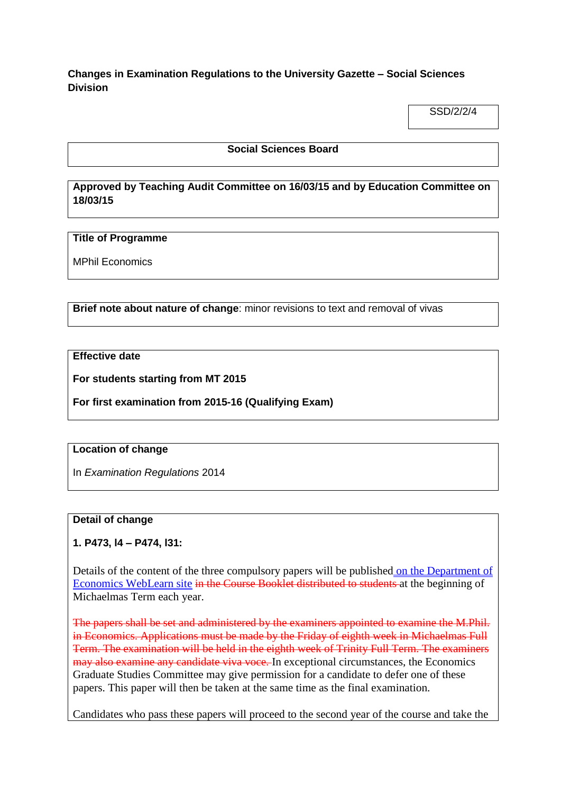**Changes in Examination Regulations to the University Gazette – Social Sciences Division**

SSD/2/2/4

### **Social Sciences Board**

## **Approved by Teaching Audit Committee on 16/03/15 and by Education Committee on 18/03/15**

### **Title of Programme**

MPhil Economics

**Brief note about nature of change**: minor revisions to text and removal of vivas

**Effective date**

**For students starting from MT 2015**

**For first examination from 2015-16 (Qualifying Exam)**

## **Location of change**

In *Examination Regulations* 2014

#### **Detail of change**

**1. P473, l4 – P474, l31:**

Details of the content of the three compulsory papers will be published on the Department of Economics WebLearn site in the Course Booklet distributed to students at the beginning of Michaelmas Term each year.

The papers shall be set and administered by the examiners appointed to examine the M.Phil. in Economics. Applications must be made by the Friday of eighth week in Michaelmas Full Term. The examination will be held in the eighth week of Trinity Full Term. The examiners may also examine any candidate viva voce. In exceptional circumstances, the Economics Graduate Studies Committee may give permission for a candidate to defer one of these papers. This paper will then be taken at the same time as the final examination.

Candidates who pass these papers will proceed to the second year of the course and take the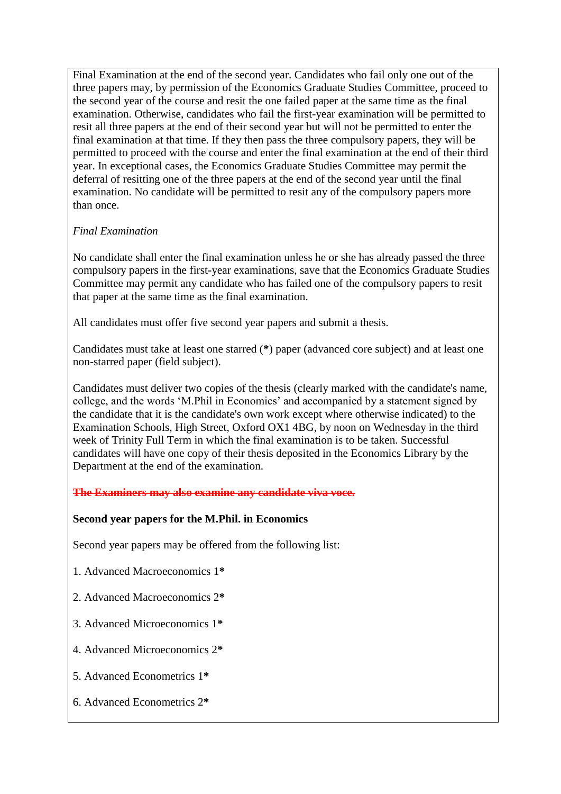Final Examination at the end of the second year. Candidates who fail only one out of the three papers may, by permission of the Economics Graduate Studies Committee, proceed to the second year of the course and resit the one failed paper at the same time as the final examination. Otherwise, candidates who fail the first-year examination will be permitted to resit all three papers at the end of their second year but will not be permitted to enter the final examination at that time. If they then pass the three compulsory papers, they will be permitted to proceed with the course and enter the final examination at the end of their third year. In exceptional cases, the Economics Graduate Studies Committee may permit the deferral of resitting one of the three papers at the end of the second year until the final examination. No candidate will be permitted to resit any of the compulsory papers more than once.

## *Final Examination*

No candidate shall enter the final examination unless he or she has already passed the three compulsory papers in the first-year examinations, save that the Economics Graduate Studies Committee may permit any candidate who has failed one of the compulsory papers to resit that paper at the same time as the final examination.

All candidates must offer five second year papers and submit a thesis.

Candidates must take at least one starred (**\***) paper (advanced core subject) and at least one non-starred paper (field subject).

Candidates must deliver two copies of the thesis (clearly marked with the candidate's name, college, and the words 'M.Phil in Economics' and accompanied by a statement signed by the candidate that it is the candidate's own work except where otherwise indicated) to the Examination Schools, High Street, Oxford OX1 4BG, by noon on Wednesday in the third week of Trinity Full Term in which the final examination is to be taken. Successful candidates will have one copy of their thesis deposited in the Economics Library by the Department at the end of the examination.

**The Examiners may also examine any candidate viva voce.**

# **Second year papers for the M.Phil. in Economics**

Second year papers may be offered from the following list:

1. Advanced Macroeconomics 1**\***

2. Advanced Macroeconomics 2**\***

- 3. Advanced Microeconomics 1**\***
- 4. Advanced Microeconomics 2**\***
- 5. Advanced Econometrics 1**\***
- 6. Advanced Econometrics 2**\***